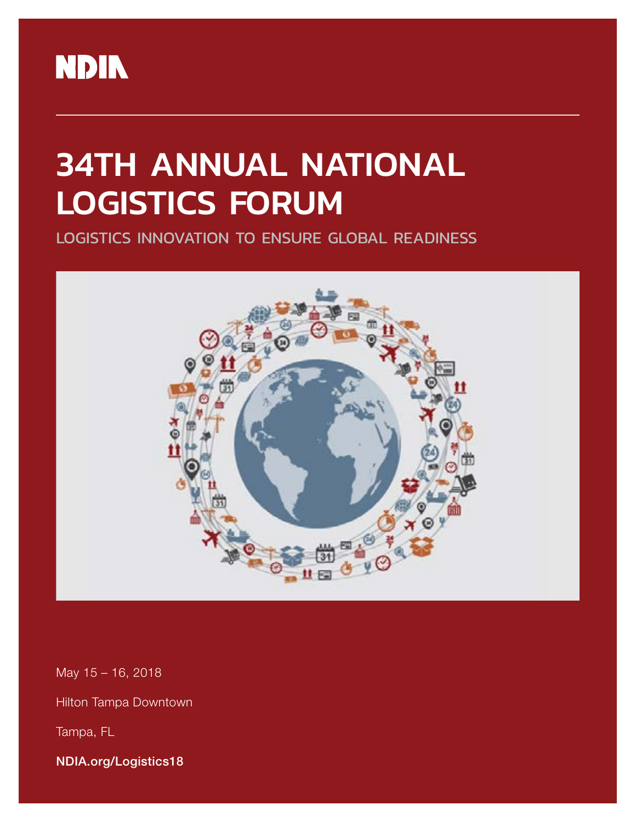

# 34TH ANNUAL NATIONAL LOGISTICS FORUM

LOGISTICS INNOVATION TO ENSURE GLOBAL READINESS



May 15 – 16, 2018

Hilton Tampa Downtown

Tampa, FL

NDIA.org/Logistics18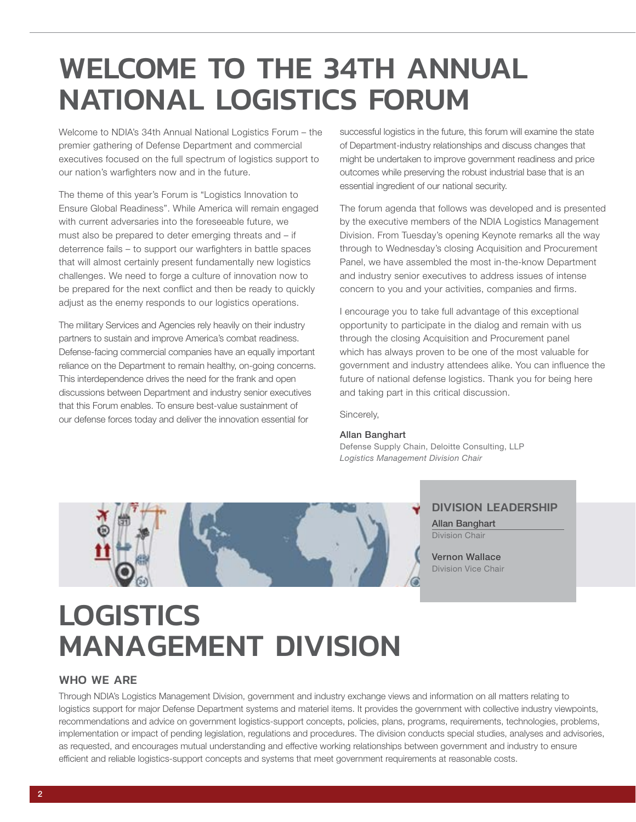## <span id="page-1-0"></span>WELCOME TO THE 34TH ANNUAL NATIONAL LOGISTICS FORUM

Welcome to NDIA's 34th Annual National Logistics Forum – the premier gathering of Defense Department and commercial executives focused on the full spectrum of logistics support to our nation's warfighters now and in the future.

The theme of this year's Forum is "Logistics Innovation to Ensure Global Readiness". While America will remain engaged with current adversaries into the foreseeable future, we must also be prepared to deter emerging threats and – if deterrence fails – to support our warfighters in battle spaces that will almost certainly present fundamentally new logistics challenges. We need to forge a culture of innovation now to be prepared for the next conflict and then be ready to quickly adjust as the enemy responds to our logistics operations.

The military Services and Agencies rely heavily on their industry partners to sustain and improve America's combat readiness. Defense-facing commercial companies have an equally important reliance on the Department to remain healthy, on-going concerns. This interdependence drives the need for the frank and open discussions between Department and industry senior executives that this Forum enables. To ensure best-value sustainment of our defense forces today and deliver the innovation essential for

successful logistics in the future, this forum will examine the state of Department-industry relationships and discuss changes that might be undertaken to improve government readiness and price outcomes while preserving the robust industrial base that is an essential ingredient of our national security.

The forum agenda that follows was developed and is presented by the executive members of the NDIA Logistics Management Division. From Tuesday's opening Keynote remarks all the way through to Wednesday's closing Acquisition and Procurement Panel, we have assembled the most in-the-know Department and industry senior executives to address issues of intense concern to you and your activities, companies and firms.

I encourage you to take full advantage of this exceptional opportunity to participate in the dialog and remain with us through the closing Acquisition and Procurement panel which has always proven to be one of the most valuable for government and industry attendees alike. You can influence the future of national defense logistics. Thank you for being here and taking part in this critical discussion.

Sincerely,

#### Allan Banghart

Defense Supply Chain, Deloitte Consulting, LLP *Logistics Management Division Chair*



#### DIVISION LEADERSHIP

Allan Banghart Division Chair

Vernon Wallace Division Vice Chair

## **LOGISTICS** MANAGEMENT DIVISION

#### WHO WE ARE

Through NDIA's Logistics Management Division, government and industry exchange views and information on all matters relating to logistics support for major Defense Department systems and materiel items. It provides the government with collective industry viewpoints, recommendations and advice on government logistics-support concepts, policies, plans, programs, requirements, technologies, problems, implementation or impact of pending legislation, regulations and procedures. The division conducts special studies, analyses and advisories, as requested, and encourages mutual understanding and effective working relationships between government and industry to ensure efficient and reliable logistics-support concepts and systems that meet government requirements at reasonable costs.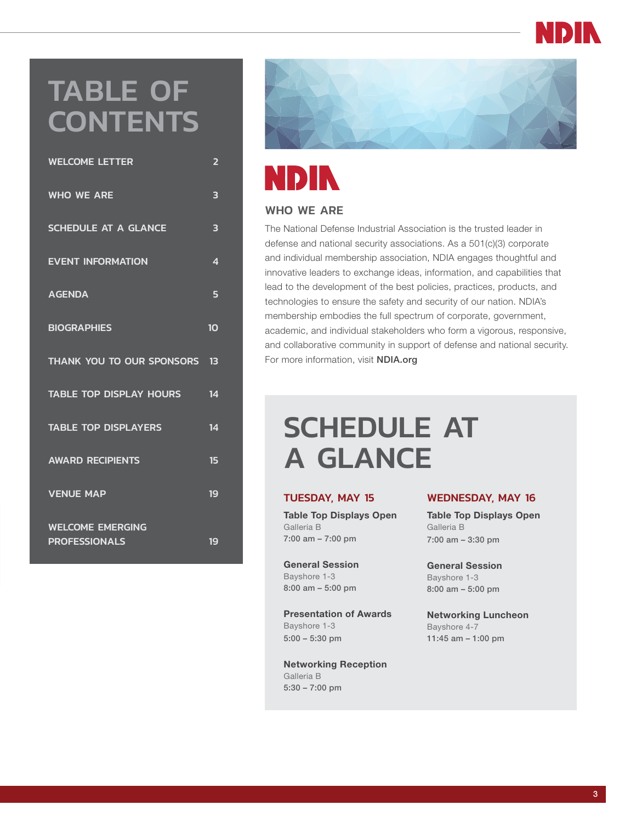## TABLE OF **CONTENTS**

| <b>WHO WE ARE</b><br>3<br><b>SCHEDULE AT A GLANCE</b><br>3<br><b>EVENT INFORMATION</b><br>$\overline{\mathbf{A}}$<br><b>AGENDA</b><br>5<br><b>BIOGRAPHIES</b><br>10<br>THANK YOU TO OUR SPONSORS<br>13<br><b>TABLE TOP DISPLAY HOURS</b><br>14<br><b>TABLE TOP DISPLAYERS</b><br>14<br><b>AWARD RECIPIENTS</b><br>15<br><b>VENUE MAP</b><br>19<br><b>WELCOME EMERGING</b><br><b>PROFESSIONALS</b><br>19 | <b>WELCOME LETTER</b> | $\overline{\mathbf{2}}$ |
|---------------------------------------------------------------------------------------------------------------------------------------------------------------------------------------------------------------------------------------------------------------------------------------------------------------------------------------------------------------------------------------------------------|-----------------------|-------------------------|
|                                                                                                                                                                                                                                                                                                                                                                                                         |                       |                         |
|                                                                                                                                                                                                                                                                                                                                                                                                         |                       |                         |
|                                                                                                                                                                                                                                                                                                                                                                                                         |                       |                         |
|                                                                                                                                                                                                                                                                                                                                                                                                         |                       |                         |
|                                                                                                                                                                                                                                                                                                                                                                                                         |                       |                         |
|                                                                                                                                                                                                                                                                                                                                                                                                         |                       |                         |
|                                                                                                                                                                                                                                                                                                                                                                                                         |                       |                         |
|                                                                                                                                                                                                                                                                                                                                                                                                         |                       |                         |
|                                                                                                                                                                                                                                                                                                                                                                                                         |                       |                         |
|                                                                                                                                                                                                                                                                                                                                                                                                         |                       |                         |
|                                                                                                                                                                                                                                                                                                                                                                                                         |                       |                         |



# **NDIN**

#### WHO WE ARE

The National Defense Industrial Association is the trusted leader in defense and national security associations. As a 501(c)(3) corporate and individual membership association, NDIA engages thoughtful and innovative leaders to exchange ideas, information, and capabilities that lead to the development of the best policies, practices, products, and technologies to ensure the safety and security of our nation. NDIA's membership embodies the full spectrum of corporate, government, academic, and individual stakeholders who form a vigorous, responsive, and collaborative community in support of defense and national security. For more information, visit NDIA.org

## SCHEDULE AT A GLANCE

#### TUESDAY, MAY 15

Table Top Displays Open Galleria B 7:00 am – 7:00 pm

General Session Bayshore 1-3 8:00 am – 5:00 pm

Presentation of Awards Bayshore 1-3 5:00 – 5:30 pm

Networking Reception Galleria B 5:30 – 7:00 pm

#### WEDNESDAY, MAY 16

Table Top Displays Open Galleria B 7:00 am – 3:30 pm

General Session Bayshore 1-3 8:00 am – 5:00 pm

Networking Luncheon Bayshore 4-7 11:45 am – 1:00 pm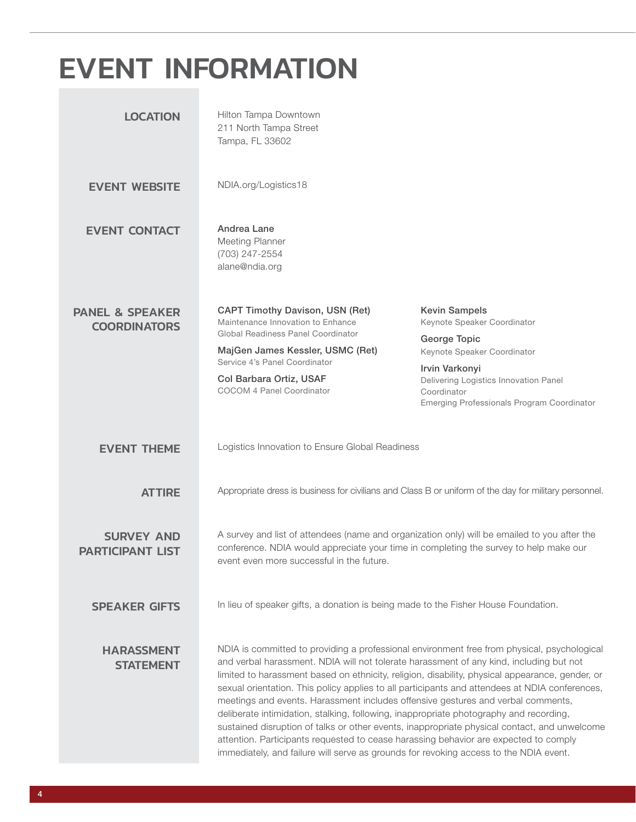## <span id="page-3-0"></span>EVENT INFORMATION

| <b>LOCATION</b>                                   | Hilton Tampa Downtown<br>211 North Tampa Street<br>Tampa, FL 33602                                                                                                                                                                                                                                                                                                                                                                                                                                                                                                                                                                                                                                                                                                                                                                                         |                                                                                                                                                                                                                            |  |
|---------------------------------------------------|------------------------------------------------------------------------------------------------------------------------------------------------------------------------------------------------------------------------------------------------------------------------------------------------------------------------------------------------------------------------------------------------------------------------------------------------------------------------------------------------------------------------------------------------------------------------------------------------------------------------------------------------------------------------------------------------------------------------------------------------------------------------------------------------------------------------------------------------------------|----------------------------------------------------------------------------------------------------------------------------------------------------------------------------------------------------------------------------|--|
| <b>EVENT WEBSITE</b>                              | NDIA.org/Logistics18                                                                                                                                                                                                                                                                                                                                                                                                                                                                                                                                                                                                                                                                                                                                                                                                                                       |                                                                                                                                                                                                                            |  |
| <b>EVENT CONTACT</b>                              | Andrea Lane<br>Meeting Planner<br>(703) 247-2554<br>alane@ndia.org                                                                                                                                                                                                                                                                                                                                                                                                                                                                                                                                                                                                                                                                                                                                                                                         |                                                                                                                                                                                                                            |  |
| <b>PANEL &amp; SPEAKER</b><br><b>COORDINATORS</b> | <b>CAPT Timothy Davison, USN (Ret)</b><br>Maintenance Innovation to Enhance<br>Global Readiness Panel Coordinator<br>MajGen James Kessler, USMC (Ret)<br>Service 4's Panel Coordinator<br>Col Barbara Ortiz, USAF<br><b>COCOM 4 Panel Coordinator</b>                                                                                                                                                                                                                                                                                                                                                                                                                                                                                                                                                                                                      | <b>Kevin Sampels</b><br>Keynote Speaker Coordinator<br>George Topic<br>Keynote Speaker Coordinator<br>Irvin Varkonyi<br>Delivering Logistics Innovation Panel<br>Coordinator<br>Emerging Professionals Program Coordinator |  |
| <b>EVENT THEME</b>                                | Logistics Innovation to Ensure Global Readiness                                                                                                                                                                                                                                                                                                                                                                                                                                                                                                                                                                                                                                                                                                                                                                                                            |                                                                                                                                                                                                                            |  |
| <b>ATTIRE</b>                                     | Appropriate dress is business for civilians and Class B or uniform of the day for military personnel.                                                                                                                                                                                                                                                                                                                                                                                                                                                                                                                                                                                                                                                                                                                                                      |                                                                                                                                                                                                                            |  |
| <b>SURVEY AND</b><br><b>PARTICIPANT LIST</b>      | A survey and list of attendees (name and organization only) will be emailed to you after the<br>conference. NDIA would appreciate your time in completing the survey to help make our<br>event even more successful in the future.                                                                                                                                                                                                                                                                                                                                                                                                                                                                                                                                                                                                                         |                                                                                                                                                                                                                            |  |
| <b>SPEAKER GIFTS</b>                              | In lieu of speaker gifts, a donation is being made to the Fisher House Foundation.                                                                                                                                                                                                                                                                                                                                                                                                                                                                                                                                                                                                                                                                                                                                                                         |                                                                                                                                                                                                                            |  |
| <b>HARASSMENT</b><br><b>STATEMENT</b>             | NDIA is committed to providing a professional environment free from physical, psychological<br>and verbal harassment. NDIA will not tolerate harassment of any kind, including but not<br>limited to harassment based on ethnicity, religion, disability, physical appearance, gender, or<br>sexual orientation. This policy applies to all participants and attendees at NDIA conferences,<br>meetings and events. Harassment includes offensive gestures and verbal comments,<br>deliberate intimidation, stalking, following, inappropriate photography and recording,<br>sustained disruption of talks or other events, inappropriate physical contact, and unwelcome<br>attention. Participants requested to cease harassing behavior are expected to comply<br>immediately, and failure will serve as grounds for revoking access to the NDIA event. |                                                                                                                                                                                                                            |  |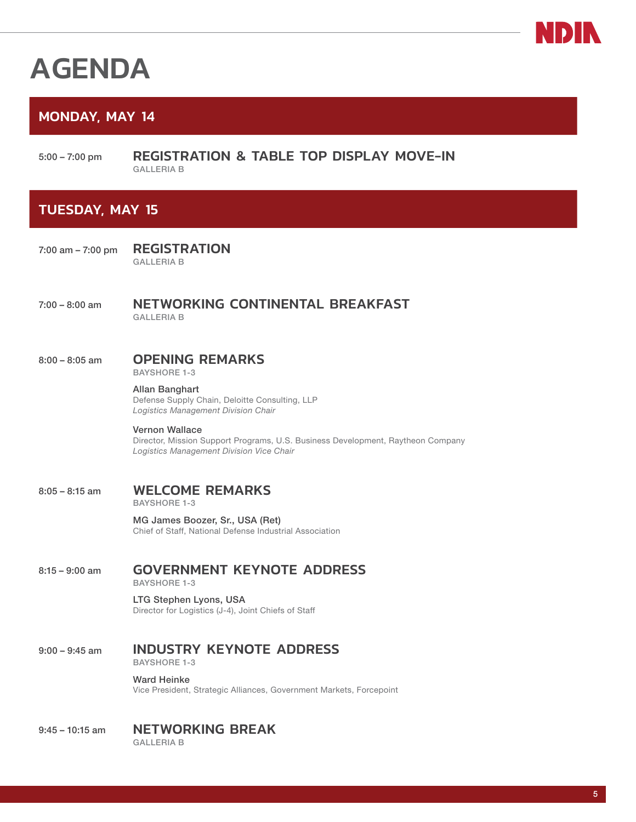

## <span id="page-4-0"></span>AGENDA

#### MONDAY, MAY 14

5:00 – 7:00 pm REGISTRATION & TABLE TOP DISPLAY MOVE-IN GALLERIA B

#### TUESDAY, MAY 15

7:00 am – 7:00 pm REGISTRATION GALLERIA B

#### 7:00 – 8:00 am NETWORKING CONTINENTAL BREAKFAST GALLERIA B

## 8:00 - 8:05 am **OPENING REMARKS**

BAYSHORE 1-3

Allan Banghart Defense Supply Chain, Deloitte Consulting, LLP *Logistics Management Division Chair*

Vernon Wallace Director, Mission Support Programs, U.S. Business Development, Raytheon Company *Logistics Management Division Vice Chair*

#### 8:05 – 8:15 am WELCOME REMARKS BAYSHORE 1-3

MG James Boozer, Sr., USA (Ret) Chief of Staff, National Defense Industrial Association

#### 8:15 - 9:00 am **GOVERNMENT KEYNOTE ADDRESS**

BAYSHORE 1-3

LTG Stephen Lyons, USA Director for Logistics (J-4), Joint Chiefs of Staff

#### 9:00 - 9:45 am **INDUSTRY KEYNOTE ADDRESS** BAYSHORE 1-3

Ward Heinke Vice President, Strategic Alliances, Government Markets, Forcepoint

9:45 – 10:15 am NETWORKING BREAK GALLERIA B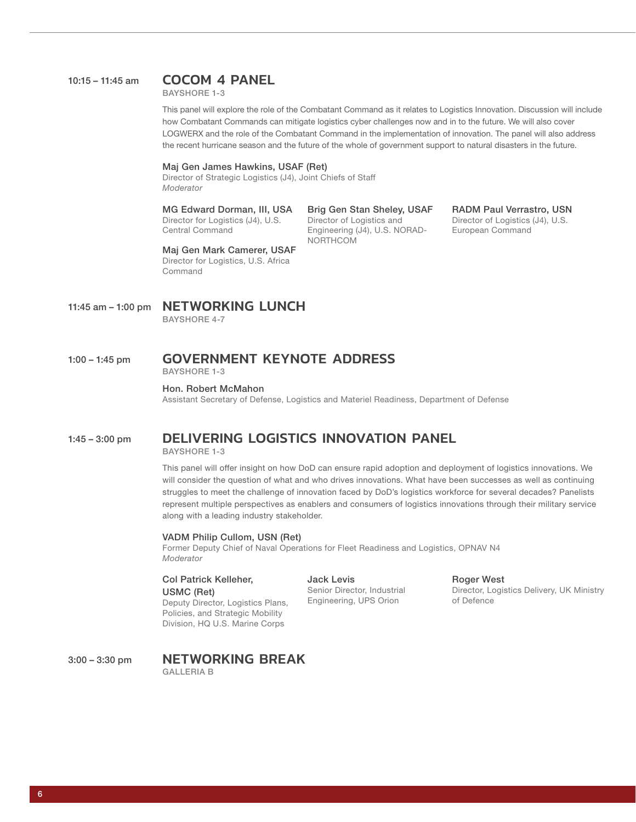#### 10:15 – 11:45 am COCOM 4 PANEL

BAYSHORE 1-3

This panel will explore the role of the Combatant Command as it relates to Logistics Innovation. Discussion will include how Combatant Commands can mitigate logistics cyber challenges now and in to the future. We will also cover LOGWERX and the role of the Combatant Command in the implementation of innovation. The panel will also address the recent hurricane season and the future of the whole of government support to natural disasters in the future.

#### Maj Gen James Hawkins, USAF (Ret)

Director of Strategic Logistics (J4), Joint Chiefs of Staff *Moderator*

#### MG Edward Dorman, III, USA

Director for Logistics (J4), U.S. Central Command

#### Brig Gen Stan Sheley, USAF

Director of Logistics and Engineering (J4), U.S. NORAD-NORTHCOM

#### RADM Paul Verrastro, USN Director of Logistics (J4), U.S. European Command

Maj Gen Mark Camerer, USAF Director for Logistics, U.S. Africa **Command** 

11:45 am - 1:00 pm **NETWORKING LUNCH** 

BAYSHORE 4-7

#### 1:00 – 1:45 pm GOVERNMENT KEYNOTE ADDRESS BAYSHORE 1-3

#### Hon. Robert McMahon

Assistant Secretary of Defense, Logistics and Materiel Readiness, Department of Defense

#### 1:45 – 3:00 pm DELIVERING LOGISTICS INNOVATION PANEL

BAYSHORE 1-3

This panel will offer insight on how DoD can ensure rapid adoption and deployment of logistics innovations. We will consider the question of what and who drives innovations. What have been successes as well as continuing struggles to meet the challenge of innovation faced by DoD's logistics workforce for several decades? Panelists represent multiple perspectives as enablers and consumers of logistics innovations through their military service along with a leading industry stakeholder.

#### VADM Philip Cullom, USN (Ret)

Former Deputy Chief of Naval Operations for Fleet Readiness and Logistics, OPNAV N4 *Moderator*

Col Patrick Kelleher, USMC (Ret) Deputy Director, Logistics Plans, Policies, and Strategic Mobility Division, HQ U.S. Marine Corps

Jack Levis Senior Director, Industrial Engineering, UPS Orion

Roger West Director, Logistics Delivery, UK Ministry of Defence

3:00 – 3:30 pm NETWORKING BREAK GALLERIA B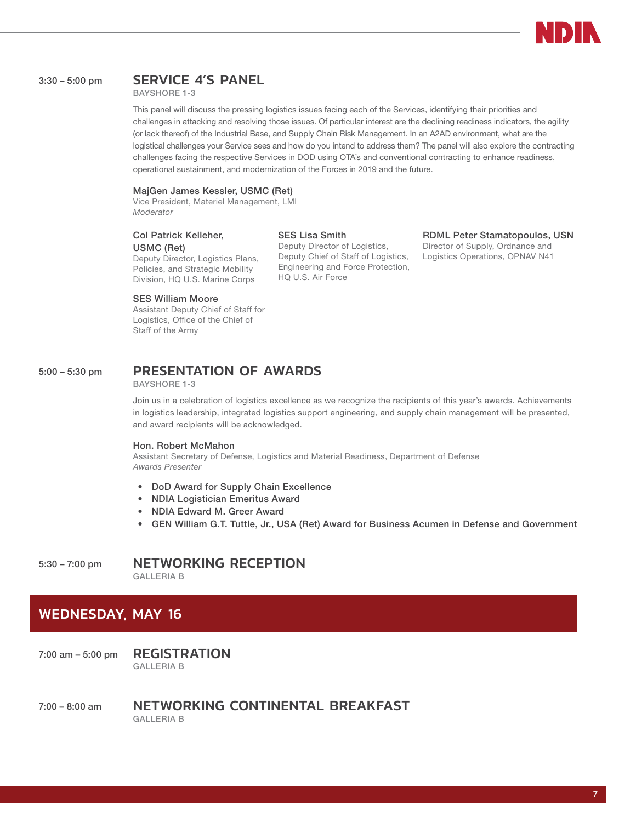

#### 3:30 – 5:00 pm SERVICE 4'S PANEL

BAYSHORE 1-3

This panel will discuss the pressing logistics issues facing each of the Services, identifying their priorities and challenges in attacking and resolving those issues. Of particular interest are the declining readiness indicators, the agility (or lack thereof) of the Industrial Base, and Supply Chain Risk Management. In an A2AD environment, what are the logistical challenges your Service sees and how do you intend to address them? The panel will also explore the contracting challenges facing the respective Services in DOD using OTA's and conventional contracting to enhance readiness, operational sustainment, and modernization of the Forces in 2019 and the future.

#### MajGen James Kessler, USMC (Ret)

Vice President, Materiel Management, LMI *Moderator*

#### Col Patrick Kelleher, USMC (Ret)

Deputy Director, Logistics Plans, Policies, and Strategic Mobility Division, HQ U.S. Marine Corps

#### SES William Moore

Assistant Deputy Chief of Staff for Logistics, Office of the Chief of Staff of the Army

#### SES Lisa Smith Deputy Director of Logistics, Deputy Chief of Staff of Logistics, Engineering and Force Protection, HQ U.S. Air Force

RDML Peter Stamatopoulos, USN Director of Supply, Ordnance and Logistics Operations, OPNAV N41

#### 5:00 – 5:30 pm PRESENTATION OF AWARDS

BAYSHORE 1-3

Join us in a celebration of logistics excellence as we recognize the recipients of this year's awards. Achievements in logistics leadership, integrated logistics support engineering, and supply chain management will be presented, and award recipients will be acknowledged.

#### Hon. Robert McMahon

Assistant Secretary of Defense, Logistics and Material Readiness, Department of Defense *Awards Presenter*

- DoD Award for Supply Chain Excellence
- NDIA Logistician Emeritus Award
- NDIA Edward M. Greer Award
- GEN William G.T. Tuttle, Jr., USA (Ret) Award for Business Acumen in Defense and Government

#### 5:30 – 7:00 pm NETWORKING RECEPTION

GALLERIA B

#### WEDNESDAY, MAY 16

7:00 am – 5:00 pm REGISTRATION GALLERIA B

7:00 – 8:00 am NETWORKING CONTINENTAL BREAKFAST GALLERIA B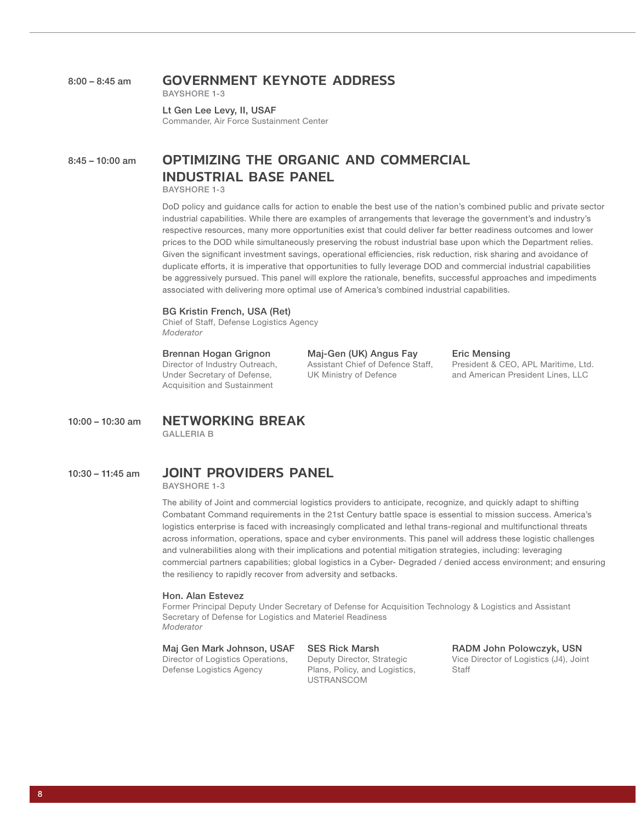#### 8:00 – 8:45 am GOVERNMENT KEYNOTE ADDRESS

BAYSHORE 1-3

Lt Gen Lee Levy, II, USAF Commander, Air Force Sustainment Center

#### 8:45 - 10:00 am **OPTIMIZING THE ORGANIC AND COMMERCIAL** INDUSTRIAL BASE PANEL

BAYSHORE 1-3

DoD policy and guidance calls for action to enable the best use of the nation's combined public and private sector industrial capabilities. While there are examples of arrangements that leverage the government's and industry's respective resources, many more opportunities exist that could deliver far better readiness outcomes and lower prices to the DOD while simultaneously preserving the robust industrial base upon which the Department relies. Given the significant investment savings, operational efficiencies, risk reduction, risk sharing and avoidance of duplicate efforts, it is imperative that opportunities to fully leverage DOD and commercial industrial capabilities be aggressively pursued. This panel will explore the rationale, benefits, successful approaches and impediments associated with delivering more optimal use of America's combined industrial capabilities.

#### BG Kristin French, USA (Ret)

Chief of Staff, Defense Logistics Agency *Moderator*

Brennan Hogan Grignon Director of Industry Outreach, Under Secretary of Defense,

Acquisition and Sustainment

Maj-Gen (UK) Angus Fay Assistant Chief of Defence Staff, UK Ministry of Defence

Eric Mensing

President & CEO, APL Maritime, Ltd. and American President Lines, LLC

#### 10:00 – 10:30 am NETWORKING BREAK

GALLERIA B

#### 10:30 – 11:45 am JOINT PROVIDERS PANEL

BAYSHORE 1-3

The ability of Joint and commercial logistics providers to anticipate, recognize, and quickly adapt to shifting Combatant Command requirements in the 21st Century battle space is essential to mission success. America's logistics enterprise is faced with increasingly complicated and lethal trans-regional and multifunctional threats across information, operations, space and cyber environments. This panel will address these logistic challenges and vulnerabilities along with their implications and potential mitigation strategies, including: leveraging commercial partners capabilities; global logistics in a Cyber- Degraded / denied access environment; and ensuring the resiliency to rapidly recover from adversity and setbacks.

#### Hon. Alan Estevez

Former Principal Deputy Under Secretary of Defense for Acquisition Technology & Logistics and Assistant Secretary of Defense for Logistics and Materiel Readiness *Moderator*

#### Maj Gen Mark Johnson, USAF

Director of Logistics Operations, Defense Logistics Agency

SES Rick Marsh Deputy Director, Strategic Plans, Policy, and Logistics, USTRANSCOM

RADM John Polowczyk, USN Vice Director of Logistics (J4), Joint **Staff**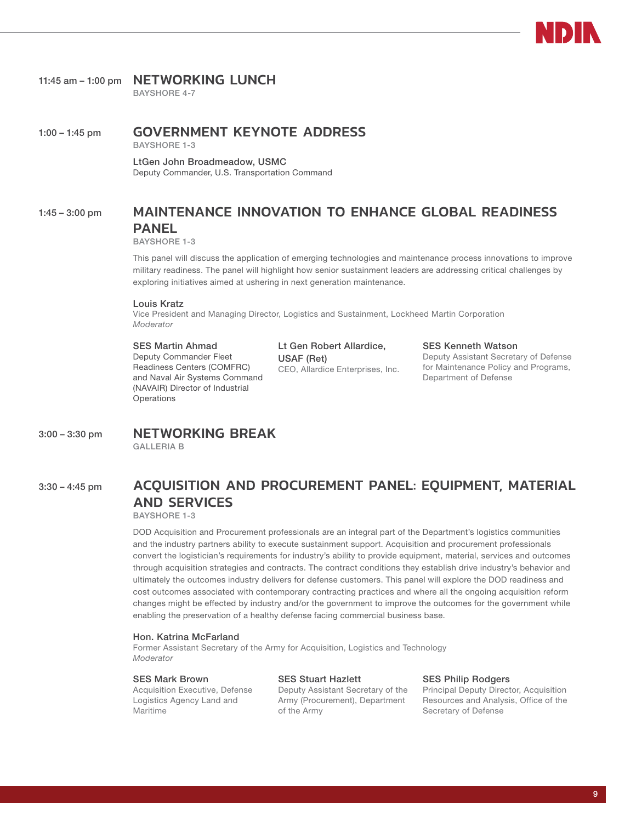#### 11:45 am - 1:00 pm **NETWORKING LUNCH**

BAYSHORE 4-7

#### 1:00 – 1:45 pm GOVERNMENT KEYNOTE ADDRESS

BAYSHORE 1-3

LtGen John Broadmeadow, USMC Deputy Commander, U.S. Transportation Command

#### 1:45 – 3:00 pm MAINTENANCE INNOVATION TO ENHANCE GLOBAL READINESS PANEL

BAYSHORE 1-3

This panel will discuss the application of emerging technologies and maintenance process innovations to improve military readiness. The panel will highlight how senior sustainment leaders are addressing critical challenges by exploring initiatives aimed at ushering in next generation maintenance.

#### Louis Kratz

Vice President and Managing Director, Logistics and Sustainment, Lockheed Martin Corporation *Moderator*

#### SES Martin Ahmad

Deputy Commander Fleet Readiness Centers (COMFRC) and Naval Air Systems Command (NAVAIR) Director of Industrial **Operations** 

Lt Gen Robert Allardice, USAF (Ret) CEO, Allardice Enterprises, Inc. SES Kenneth Watson Deputy Assistant Secretary of Defense for Maintenance Policy and Programs, Department of Defense

#### 3:00 – 3:30 pm NETWORKING BREAK

GALLERIA B

#### 3:30 - 4:45 pm ACQUISITION AND PROCUREMENT PANEL: EQUIPMENT, MATERIAL AND SERVICES

BAYSHORE 1-3

DOD Acquisition and Procurement professionals are an integral part of the Department's logistics communities and the industry partners ability to execute sustainment support. Acquisition and procurement professionals convert the logistician's requirements for industry's ability to provide equipment, material, services and outcomes through acquisition strategies and contracts. The contract conditions they establish drive industry's behavior and ultimately the outcomes industry delivers for defense customers. This panel will explore the DOD readiness and cost outcomes associated with contemporary contracting practices and where all the ongoing acquisition reform changes might be effected by industry and/or the government to improve the outcomes for the government while enabling the preservation of a healthy defense facing commercial business base.

#### Hon. Katrina McFarland

Former Assistant Secretary of the Army for Acquisition, Logistics and Technology *Moderator*

#### SES Mark Brown

Acquisition Executive, Defense Logistics Agency Land and Maritime

#### SES Stuart Hazlett

Deputy Assistant Secretary of the Army (Procurement), Department of the Army

#### SES Philip Rodgers

Principal Deputy Director, Acquisition Resources and Analysis, Office of the Secretary of Defense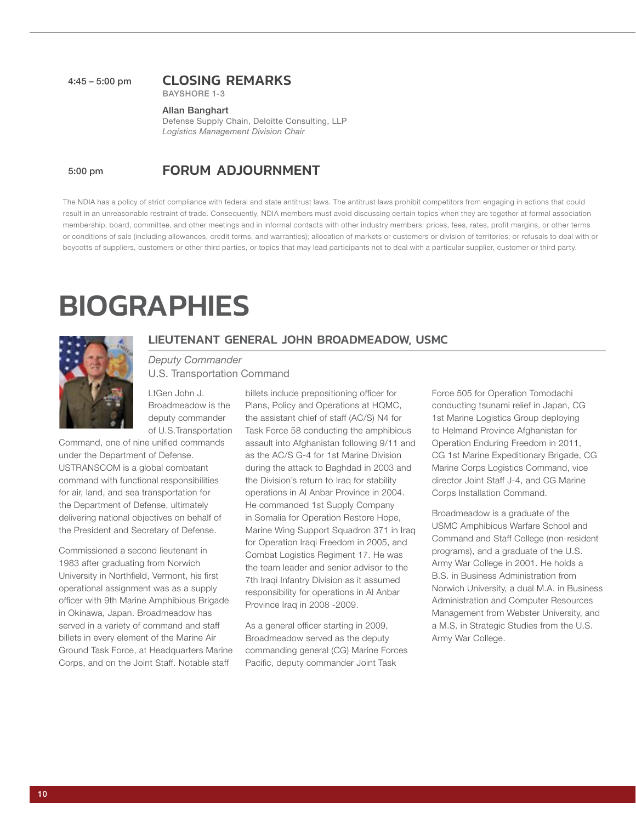#### 4:45 – 5:00 pm CLOSING REMARKS

BAYSHORE 1-3

#### Allan Banghart

Defense Supply Chain, Deloitte Consulting, LLP *Logistics Management Division Chair*

#### 5:00 pm FORUM ADJOURNMENT

The NDIA has a policy of strict compliance with federal and state antitrust laws. The antitrust laws prohibit competitors from engaging in actions that could result in an unreasonable restraint of trade. Consequently, NDIA members must avoid discussing certain topics when they are together at formal association membership, board, committee, and other meetings and in informal contacts with other industry members: prices, fees, rates, profit margins, or other terms or conditions of sale (including allowances, credit terms, and warranties); allocation of markets or customers or division of territories; or refusals to deal with or boycotts of suppliers, customers or other third parties, or topics that may lead participants not to deal with a particular supplier, customer or third party.

## **BIOGRAPHIES**



#### LIEUTENANT GENERAL JOHN BROADMEADOW, USMC

#### *Deputy Commander* U.S. Transportation Command

LtGen John J. Broadmeadow is the deputy commander of U.S.Transportation

Command, one of nine unified commands under the Department of Defense. USTRANSCOM is a global combatant command with functional responsibilities for air, land, and sea transportation for the Department of Defense, ultimately delivering national objectives on behalf of the President and Secretary of Defense.

Commissioned a second lieutenant in 1983 after graduating from Norwich University in Northfield, Vermont, his first operational assignment was as a supply officer with 9th Marine Amphibious Brigade in Okinawa, Japan. Broadmeadow has served in a variety of command and staff billets in every element of the Marine Air Ground Task Force, at Headquarters Marine Corps, and on the Joint Staff. Notable staff

billets include prepositioning officer for Plans, Policy and Operations at HQMC, the assistant chief of staff (AC/S) N4 for Task Force 58 conducting the amphibious assault into Afghanistan following 9/11 and as the AC/S G-4 for 1st Marine Division during the attack to Baghdad in 2003 and the Division's return to Iraq for stability operations in Al Anbar Province in 2004. He commanded 1st Supply Company in Somalia for Operation Restore Hope, Marine Wing Support Squadron 371 in Iraq for Operation Iraqi Freedom in 2005, and Combat Logistics Regiment 17. He was the team leader and senior advisor to the 7th Iraqi Infantry Division as it assumed responsibility for operations in Al Anbar Province Iraq in 2008 -2009.

As a general officer starting in 2009, Broadmeadow served as the deputy commanding general (CG) Marine Forces Pacific, deputy commander Joint Task

Force 505 for Operation Tomodachi conducting tsunami relief in Japan, CG 1st Marine Logistics Group deploying to Helmand Province Afghanistan for Operation Enduring Freedom in 2011, CG 1st Marine Expeditionary Brigade, CG Marine Corps Logistics Command, vice director Joint Staff J-4, and CG Marine Corps Installation Command.

Broadmeadow is a graduate of the USMC Amphibious Warfare School and Command and Staff College (non-resident programs), and a graduate of the U.S. Army War College in 2001. He holds a B.S. in Business Administration from Norwich University, a dual M.A. in Business Administration and Computer Resources Management from Webster University, and a M.S. in Strategic Studies from the U.S. Army War College.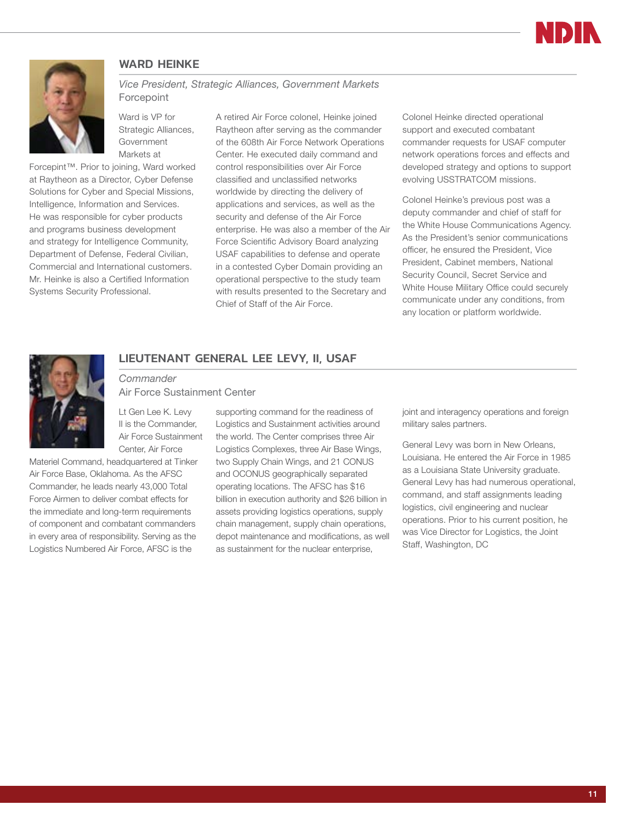

#### WARD HEINKE

<span id="page-10-0"></span>

#### *Vice President, Strategic Alliances, Government Markets* Forcepoint

Ward is VP for Strategic Alliances, Government Markets at

Forcepint™. Prior to joining, Ward worked at Raytheon as a Director, Cyber Defense Solutions for Cyber and Special Missions, Intelligence, Information and Services. He was responsible for cyber products and programs business development and strategy for Intelligence Community, Department of Defense, Federal Civilian, Commercial and International customers. Mr. Heinke is also a Certified Information Systems Security Professional.

A retired Air Force colonel, Heinke joined Raytheon after serving as the commander of the 608th Air Force Network Operations Center. He executed daily command and control responsibilities over Air Force classified and unclassified networks worldwide by directing the delivery of applications and services, as well as the security and defense of the Air Force enterprise. He was also a member of the Air Force Scientific Advisory Board analyzing USAF capabilities to defense and operate in a contested Cyber Domain providing an operational perspective to the study team with results presented to the Secretary and Chief of Staff of the Air Force.

Colonel Heinke directed operational support and executed combatant commander requests for USAF computer network operations forces and effects and developed strategy and options to support evolving USSTRATCOM missions.

Colonel Heinke's previous post was a deputy commander and chief of staff for the White House Communications Agency. As the President's senior communications officer, he ensured the President, Vice President, Cabinet members, National Security Council, Secret Service and White House Military Office could securely communicate under any conditions, from any location or platform worldwide.



#### LIEUTENANT GENERAL LEE LEVY, II, USAF

*Commander* Air Force Sustainment Center

Lt Gen Lee K. Levy II is the Commander, Air Force Sustainment Center, Air Force

Materiel Command, headquartered at Tinker Air Force Base, Oklahoma. As the AFSC Commander, he leads nearly 43,000 Total Force Airmen to deliver combat effects for the immediate and long-term requirements of component and combatant commanders in every area of responsibility. Serving as the Logistics Numbered Air Force, AFSC is the

supporting command for the readiness of Logistics and Sustainment activities around the world. The Center comprises three Air Logistics Complexes, three Air Base Wings, two Supply Chain Wings, and 21 CONUS and OCONUS geographically separated operating locations. The AFSC has \$16 billion in execution authority and \$26 billion in assets providing logistics operations, supply chain management, supply chain operations, depot maintenance and modifications, as well as sustainment for the nuclear enterprise,

joint and interagency operations and foreign military sales partners.

General Levy was born in New Orleans, Louisiana. He entered the Air Force in 1985 as a Louisiana State University graduate. General Levy has had numerous operational, command, and staff assignments leading logistics, civil engineering and nuclear operations. Prior to his current position, he was Vice Director for Logistics, the Joint Staff, Washington, DC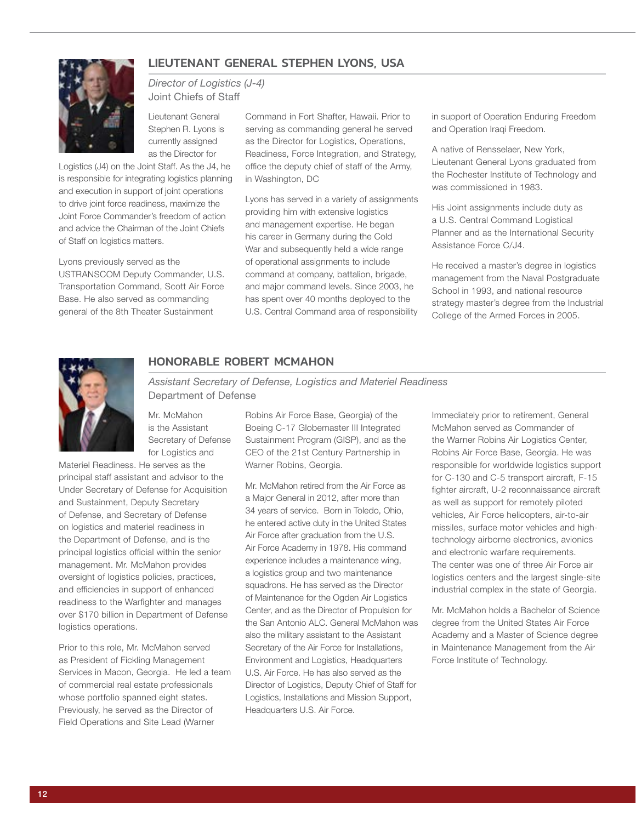#### LIEUTENANT GENERAL STEPHEN LYONS, USA



#### *Director of Logistics (J-4)* Joint Chiefs of Staff

Lieutenant General Stephen R. Lyons is currently assigned as the Director for

Logistics (J4) on the Joint Staff. As the J4, he is responsible for integrating logistics planning and execution in support of joint operations to drive joint force readiness, maximize the Joint Force Commander's freedom of action and advice the Chairman of the Joint Chiefs of Staff on logistics matters.

Lyons previously served as the USTRANSCOM Deputy Commander, U.S. Transportation Command, Scott Air Force Base. He also served as commanding general of the 8th Theater Sustainment

Command in Fort Shafter, Hawaii. Prior to serving as commanding general he served as the Director for Logistics, Operations, Readiness, Force Integration, and Strategy, office the deputy chief of staff of the Army, in Washington, DC

Lyons has served in a variety of assignments providing him with extensive logistics and management expertise. He began his career in Germany during the Cold War and subsequently held a wide range of operational assignments to include command at company, battalion, brigade, and major command levels. Since 2003, he has spent over 40 months deployed to the U.S. Central Command area of responsibility

in support of Operation Enduring Freedom and Operation Iraqi Freedom.

A native of Rensselaer, New York, Lieutenant General Lyons graduated from the Rochester Institute of Technology and was commissioned in 1983.

His Joint assignments include duty as a U.S. Central Command Logistical Planner and as the International Security Assistance Force C/J4.

He received a master's degree in logistics management from the Naval Postgraduate School in 1993, and national resource strategy master's degree from the Industrial College of the Armed Forces in 2005.



#### HONORABLE ROBERT MCMAHON

*Assistant Secretary of Defense, Logistics and Materiel Readiness* Department of Defense

Mr. McMahon is the Assistant Secretary of Defense for Logistics and

Materiel Readiness. He serves as the principal staff assistant and advisor to the Under Secretary of Defense for Acquisition and Sustainment, Deputy Secretary of Defense, and Secretary of Defense on logistics and materiel readiness in the Department of Defense, and is the principal logistics official within the senior management. Mr. McMahon provides oversight of logistics policies, practices, and efficiencies in support of enhanced readiness to the Warfighter and manages over \$170 billion in Department of Defense logistics operations.

Prior to this role, Mr. McMahon served as President of Fickling Management Services in Macon, Georgia. He led a team of commercial real estate professionals whose portfolio spanned eight states. Previously, he served as the Director of Field Operations and Site Lead (Warner

Robins Air Force Base, Georgia) of the Boeing C-17 Globemaster III Integrated Sustainment Program (GISP), and as the CEO of the 21st Century Partnership in Warner Robins, Georgia.

Mr. McMahon retired from the Air Force as a Major General in 2012, after more than 34 years of service. Born in Toledo, Ohio, he entered active duty in the United States Air Force after graduation from the U.S. Air Force Academy in 1978. His command experience includes a maintenance wing, a logistics group and two maintenance squadrons. He has served as the Director of Maintenance for the Ogden Air Logistics Center, and as the Director of Propulsion for the San Antonio ALC. General McMahon was also the military assistant to the Assistant Secretary of the Air Force for Installations, Environment and Logistics, Headquarters U.S. Air Force. He has also served as the Director of Logistics, Deputy Chief of Staff for Logistics, Installations and Mission Support, Headquarters U.S. Air Force.

Immediately prior to retirement, General McMahon served as Commander of the Warner Robins Air Logistics Center, Robins Air Force Base, Georgia. He was responsible for worldwide logistics support for C-130 and C-5 transport aircraft, F-15 fighter aircraft, U-2 reconnaissance aircraft as well as support for remotely piloted vehicles, Air Force helicopters, air-to-air missiles, surface motor vehicles and hightechnology airborne electronics, avionics and electronic warfare requirements. The center was one of three Air Force air logistics centers and the largest single-site industrial complex in the state of Georgia.

Mr. McMahon holds a Bachelor of Science degree from the United States Air Force Academy and a Master of Science degree in Maintenance Management from the Air Force Institute of Technology.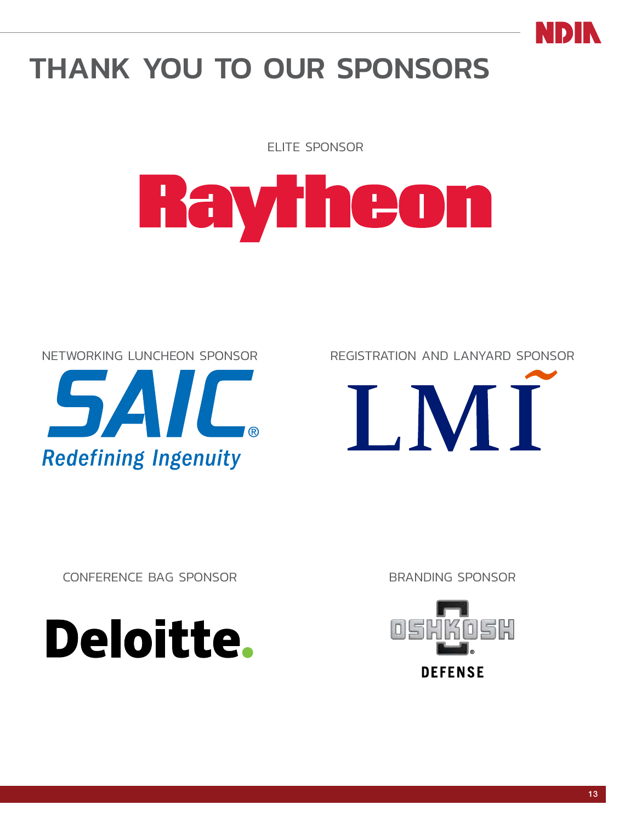

## <span id="page-12-0"></span>THANK YOU TO OUR SPONSORS

ELITE SPONSOR

# Rayheon





CONFERENCE BAG SPONSOR BRANDING SPONSOR



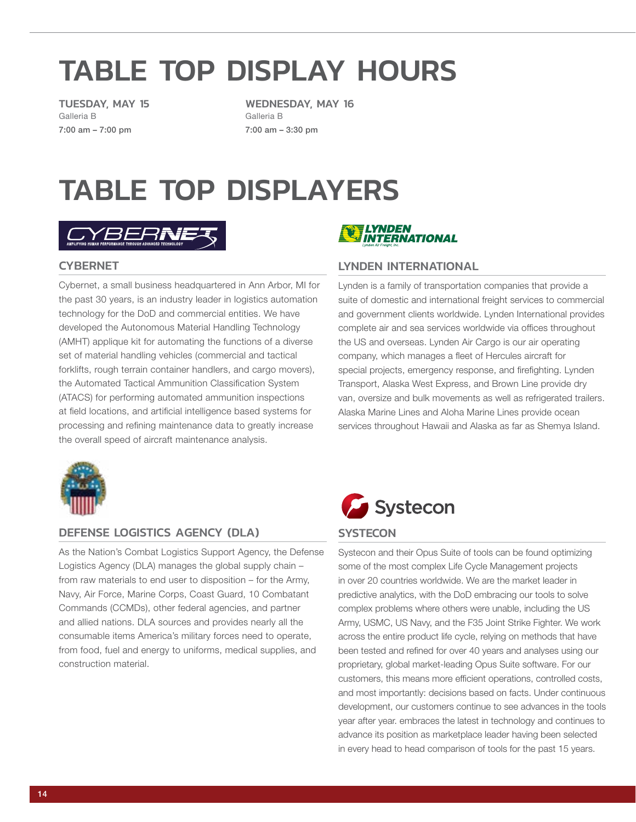## <span id="page-13-0"></span>TABLE TOP DISPLAY HOURS

TUESDAY, MAY 15 Galleria B 7:00 am – 7:00 pm

**CYBERNET** 

WEDNESDAY, MAY 16 Galleria B 7:00 am – 3:30 pm

## TABLE TOP DISPLAYERS



the past 30 years, is an industry leader in logistics automation technology for the DoD and commercial entities. We have developed the Autonomous Material Handling Technology (AMHT) applique kit for automating the functions of a diverse set of material handling vehicles (commercial and tactical forklifts, rough terrain container handlers, and cargo movers), the Automated Tactical Ammunition Classification System (ATACS) for performing automated ammunition inspections at field locations, and artificial intelligence based systems for processing and refining maintenance data to greatly increase



#### LYNDEN INTERNATIONAL

Cybernet, a small business headquartered in Ann Arbor, MI for Lynden is a family of transportation companies that provide a suite of domestic and international freight services to commercial and government clients worldwide. Lynden International provides complete air and sea services worldwide via offices throughout the US and overseas. Lynden Air Cargo is our air operating company, which manages a fleet of Hercules aircraft for special projects, emergency response, and firefighting. Lynden Transport, Alaska West Express, and Brown Line provide dry van, oversize and bulk movements as well as refrigerated trailers. Alaska Marine Lines and Aloha Marine Lines provide ocean services throughout Hawaii and Alaska as far as Shemya Island.



#### DEFENSE LOGISTICS AGENCY (DLA)

the overall speed of aircraft maintenance analysis.

As the Nation's Combat Logistics Support Agency, the Defense Logistics Agency (DLA) manages the global supply chain – from raw materials to end user to disposition – for the Army, Navy, Air Force, Marine Corps, Coast Guard, 10 Combatant Commands (CCMDs), other federal agencies, and partner and allied nations. DLA sources and provides nearly all the consumable items America's military forces need to operate, from food, fuel and energy to uniforms, medical supplies, and construction material.



#### **SYSTECON**

Systecon and their Opus Suite of tools can be found optimizing some of the most complex Life Cycle Management projects in over 20 countries worldwide. We are the market leader in predictive analytics, with the DoD embracing our tools to solve complex problems where others were unable, including the US Army, USMC, US Navy, and the F35 Joint Strike Fighter. We work across the entire product life cycle, relying on methods that have been tested and refined for over 40 years and analyses using our proprietary, global market-leading Opus Suite software. For our customers, this means more efficient operations, controlled costs, and most importantly: decisions based on facts. Under continuous development, our customers continue to see advances in the tools year after year. embraces the latest in technology and continues to advance its position as marketplace leader having been selected in every head to head comparison of tools for the past 15 years.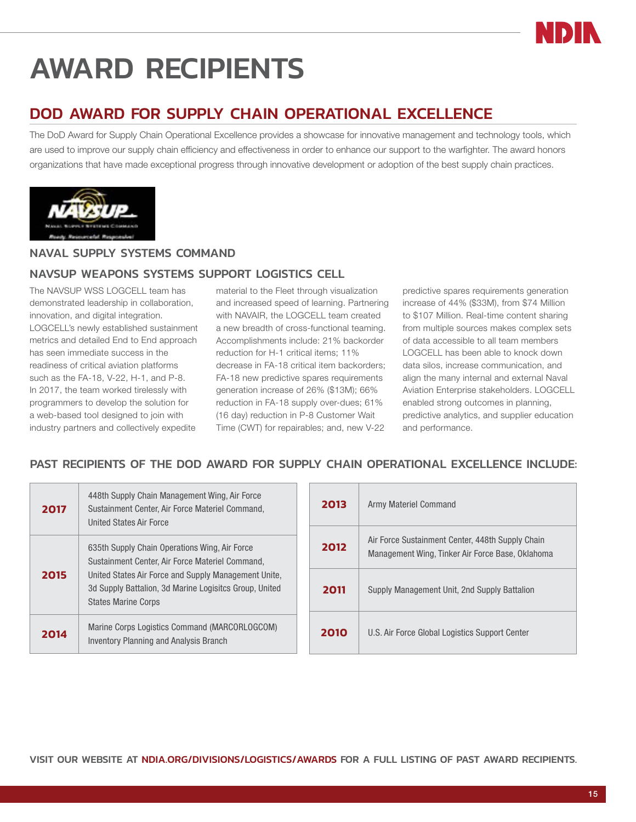# <span id="page-14-0"></span>AWARD RECIPIENTS

## DOD AWARD FOR SUPPLY CHAIN OPERATIONAL EXCELLENCE

The DoD Award for Supply Chain Operational Excellence provides a showcase for innovative management and technology tools, which are used to improve our supply chain efficiency and effectiveness in order to enhance our support to the warfighter. The award honors organizations that have made exceptional progress through innovative development or adoption of the best supply chain practices.



#### NAVAL SUPPLY SYSTEMS COMMAND

#### NAVSUP WEAPONS SYSTEMS SUPPORT LOGISTICS CELL

The NAVSUP WSS LOGCELL team has demonstrated leadership in collaboration, innovation, and digital integration. LOGCELL's newly established sustainment metrics and detailed End to End approach has seen immediate success in the readiness of critical aviation platforms such as the FA-18, V-22, H-1, and P-8. In 2017, the team worked tirelessly with programmers to develop the solution for a web-based tool designed to join with industry partners and collectively expedite

material to the Fleet through visualization and increased speed of learning. Partnering with NAVAIR, the LOGCELL team created a new breadth of cross-functional teaming. Accomplishments include: 21% backorder reduction for H-1 critical items; 11% decrease in FA-18 critical item backorders; FA-18 new predictive spares requirements generation increase of 26% (\$13M); 66% reduction in FA-18 supply over-dues; 61% (16 day) reduction in P-8 Customer Wait Time (CWT) for repairables; and, new V-22

predictive spares requirements generation increase of 44% (\$33M), from \$74 Million to \$107 Million. Real-time content sharing from multiple sources makes complex sets of data accessible to all team members LOGCELL has been able to knock down data silos, increase communication, and align the many internal and external Naval Aviation Enterprise stakeholders. LOGCELL enabled strong outcomes in planning, predictive analytics, and supplier education and performance.

#### PAST RECIPIENTS OF THE DOD AWARD FOR SUPPLY CHAIN OPERATIONAL EXCELLENCE INCLUDE:

| 2017 | 448th Supply Chain Management Wing, Air Force<br>Sustainment Center, Air Force Materiel Command,<br>United States Air Force                                                                                                                      |
|------|--------------------------------------------------------------------------------------------------------------------------------------------------------------------------------------------------------------------------------------------------|
| 2015 | 635th Supply Chain Operations Wing, Air Force<br>Sustainment Center, Air Force Materiel Command,<br>United States Air Force and Supply Management Unite,<br>3d Supply Battalion, 3d Marine Logisitcs Group, United<br><b>States Marine Corps</b> |
| 2014 | Marine Corps Logistics Command (MARCORLOGCOM)<br><b>Inventory Planning and Analysis Branch</b>                                                                                                                                                   |

| 2013 | Army Materiel Command                                                                                |
|------|------------------------------------------------------------------------------------------------------|
| 2012 | Air Force Sustainment Center, 448th Supply Chain<br>Management Wing, Tinker Air Force Base, Oklahoma |
| 2011 | Supply Management Unit, 2nd Supply Battalion                                                         |
| 2010 | U.S. Air Force Global Logistics Support Center                                                       |

VISIT OUR WEBSITE AT NDIA.ORG/DIVISIONS/LOGISTICS/AWARDS FOR A FULL LISTING OF PAST AWARD RECIPIENTS.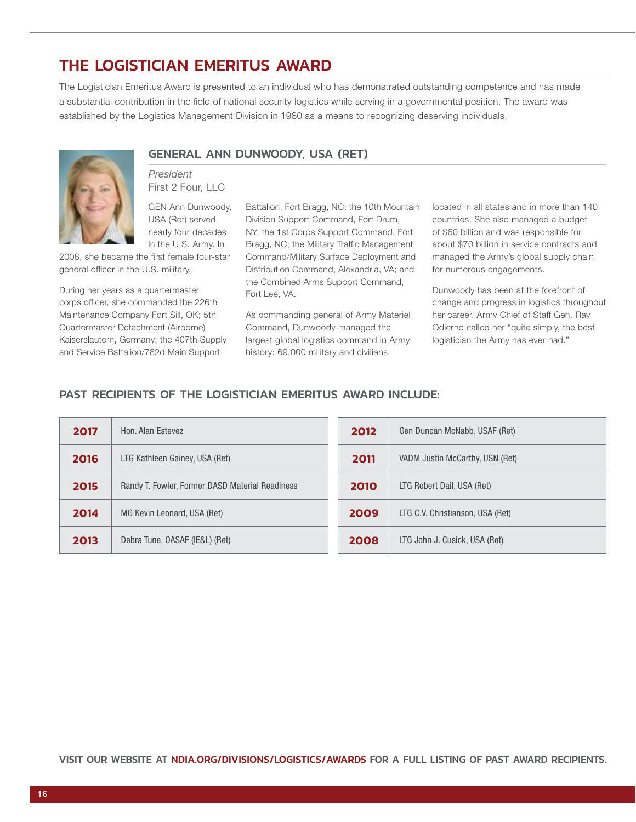## THE LOGISTICIAN EMERITUS AWARD

The Logistician Emeritus Award is presented to an individual who has demonstrated outstanding competence and has made a substantial contribution in the field of national security logistics while serving in a governmental position. The award was established by the Logistics Management Division in 1980 as a means to recognizing deserving individuals.



## GENERAL ANN DUNWOODY, USA (RET)

*President* First 2 Four, LLC

GEN Ann Dunwoody, USA (Ret) served nearly four decades in the U.S. Army. In

2008, she became the first female four-star general officer in the U.S. military.

During her years as a quartermaster corps officer, she commanded the 226th Maintenance Company Fort Sill, OK; 5th Quartermaster Detachment (Airborne) Kaiserslautern, Germany; the 407th Supply and Service Battalion/782d Main Support

Battalion, Fort Bragg, NC; the 10th Mountain Division Support Command, Fort Drum, NY; the 1st Corps Support Command, Fort Bragg, NC; the Military Traffic Management Command/Military Surface Deployment and Distribution Command, Alexandria, VA; and the Combined Arms Support Command, Fort Lee, VA.

As commanding general of Army Materiel Command, Dunwoody managed the largest global logistics command in Army history: 69,000 military and civilians

located in all states and in more than 140 countries. She also managed a budget of \$60 billion and was responsible for about \$70 billion in service contracts and managed the Army's global supply chain for numerous engagements.

Dunwoody has been at the forefront of change and progress in logistics throughout her career. Army Chief of Staff Gen. Ray Odierno called her "quite simply, the best logistician the Army has ever had."

#### PAST RECIPIENTS OF THE LOGISTICIAN EMERITUS AWARD INCLUDE:

| 2017 | Hon, Alan Estevez                               | 2012 | Gen Duncan McNabb, USAF (Ret)    |
|------|-------------------------------------------------|------|----------------------------------|
| 2016 | LTG Kathleen Gainey, USA (Ret)                  | 2011 | VADM Justin McCarthy, USN (Ret)  |
| 2015 | Randy T. Fowler, Former DASD Material Readiness | 2010 | LTG Robert Dail, USA (Ret)       |
| 2014 | MG Kevin Leonard, USA (Ret)                     | 2009 | LTG C.V. Christianson, USA (Ret) |
| 2013 | Debra Tune, OASAF (IE&L) (Ret)                  | 2008 | LTG John J. Cusick, USA (Ret)    |

VISIT OUR WEBSITE AT NDIA.ORG/DIVISIONS/LOGISTICS/AWARDS FOR A FULL LISTING OF PAST AWARD RECIPIENTS.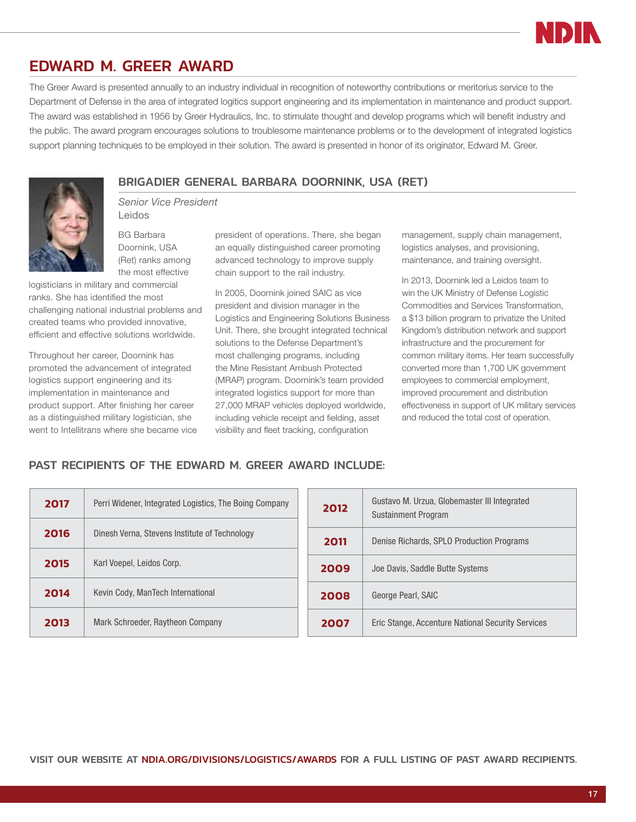

#### EDWARD M. GREER AWARD

The Greer Award is presented annually to an industry individual in recognition of noteworthy contributions or meritorius service to the Department of Defense in the area of integrated logitics support engineering and its implementation in maintenance and product support. The award was established in 1956 by Greer Hydraulics, Inc. to stimulate thought and develop programs which will benefit industry and the public. The award program encourages solutions to troublesome maintenance problems or to the development of integrated logistics support planning techniques to be employed in their solution. The award is presented in honor of its originator, Edward M. Greer.



BRIGADIER GENERAL BARBARA DOORNINK, USA (RET) *Senior Vice President*

BG Barbara Doornink, USA (Ret) ranks among the most effective

Leidos

logisticians in military and commercial ranks. She has identified the most challenging national industrial problems and created teams who provided innovative, efficient and effective solutions worldwide.

Throughout her career, Doornink has promoted the advancement of integrated logistics support engineering and its implementation in maintenance and product support. After finishing her career as a distinguished military logistician, she went to Intellitrans where she became vice

president of operations. There, she began an equally distinguished career promoting advanced technology to improve supply chain support to the rail industry.

In 2005, Doornink joined SAIC as vice president and division manager in the Logistics and Engineering Solutions Business Unit. There, she brought integrated technical solutions to the Defense Department's most challenging programs, including the Mine Resistant Ambush Protected (MRAP) program. Doornink's team provided integrated logistics support for more than 27,000 MRAP vehicles deployed worldwide, including vehicle receipt and fielding, asset visibility and fleet tracking, configuration

management, supply chain management, logistics analyses, and provisioning, maintenance, and training oversight.

In 2013, Doornink led a Leidos team to win the UK Ministry of Defense Logistic Commodities and Services Transformation, a \$13 billion program to privatize the United Kingdom's distribution network and support infrastructure and the procurement for common military items. Her team successfully converted more than 1,700 UK government employees to commercial employment, improved procurement and distribution effectiveness in support of UK military services and reduced the total cost of operation.

#### PAST RECIPIENTS OF THE EDWARD M. GREER AWARD INCLUDE:

| 2017 | Perri Widener, Integrated Logistics, The Boing Company | 2012 | Gustavo M. Urzua, Globemaster III Integrated<br>Sustainment Program |
|------|--------------------------------------------------------|------|---------------------------------------------------------------------|
| 2016 | Dinesh Verna, Stevens Institute of Technology          | 2011 | Denise Richards, SPLO Production Programs                           |
| 2015 | Karl Voepel, Leidos Corp.                              | 2009 | Joe Davis, Saddle Butte Systems                                     |
| 2014 | Kevin Cody, ManTech International                      | 2008 | George Pearl, SAIC                                                  |
| 2013 | Mark Schroeder, Raytheon Company                       | 2007 | Eric Stange, Accenture National Security Services                   |

VISIT OUR WEBSITE AT NDIA.ORG/DIVISIONS/LOGISTICS/AWARDS FOR A FULL LISTING OF PAST AWARD RECIPIENTS.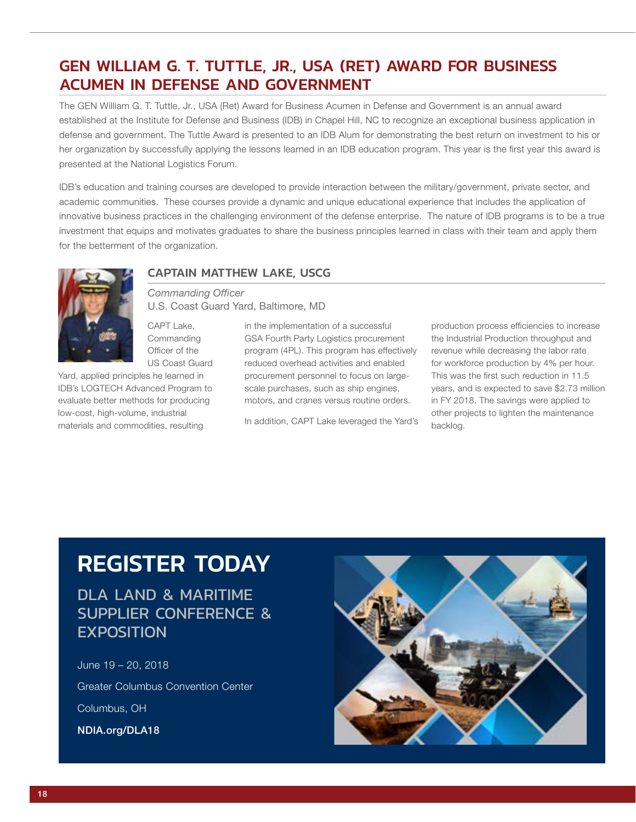## GEN WILLIAM G. T. TUTTLE, JR., USA (RET) AWARD FOR BUSINESS ACUMEN IN DEFENSE AND GOVERNMENT

The GEN William G. T. Tuttle, Jr., USA (Ret) Award for Business Acumen in Defense and Government is an annual award established at the Institute for Defense and Business (IDB) in Chapel Hill, NC to recognize an exceptional business application in defense and government. The Tuttle Award is presented to an IDB Alum for demonstrating the best return on investment to his or her organization by successfully applying the lessons learned in an IDB education program. This year is the first year this award is presented at the National Logistics Forum.

IDB's education and training courses are developed to provide interaction between the military/government, private sector, and academic communities. These courses provide a dynamic and unique educational experience that includes the application of innovative business practices in the challenging environment of the defense enterprise. The nature of IDB programs is to be a true investment that equips and motivates graduates to share the business principles learned in class with their team and apply them for the betterment of the organization.



#### CAPTAIN MATTHEW LAKE, USCG

*Commanding Officer* U.S. Coast Guard Yard, Baltimore, MD

CAPT Lake, **Commanding** Officer of the US Coast Guard

Yard, applied principles he learned in IDB's LOGTECH Advanced Program to evaluate better methods for producing low-cost, high-volume, industrial materials and commodities, resulting

in the implementation of a successful GSA Fourth Party Logistics procurement program (4PL). This program has effectively reduced overhead activities and enabled procurement personnel to focus on largescale purchases, such as ship engines, motors, and cranes versus routine orders.

In addition, CAPT Lake leveraged the Yard's

production process efficiencies to increase the Industrial Production throughput and revenue while decreasing the labor rate for workforce production by 4% per hour. This was the first such reduction in 11.5 years, and is expected to save \$2.73 million in FY 2018. The savings were applied to other projects to lighten the maintenance backlog.

## REGISTER TODAY

DLA LAND & MARITIME SUPPLIER CONFERENCE & EXPOSITION

June 19 – 20, 2018 Greater Columbus Convention Center Columbus, OH NDIA.org/DLA18

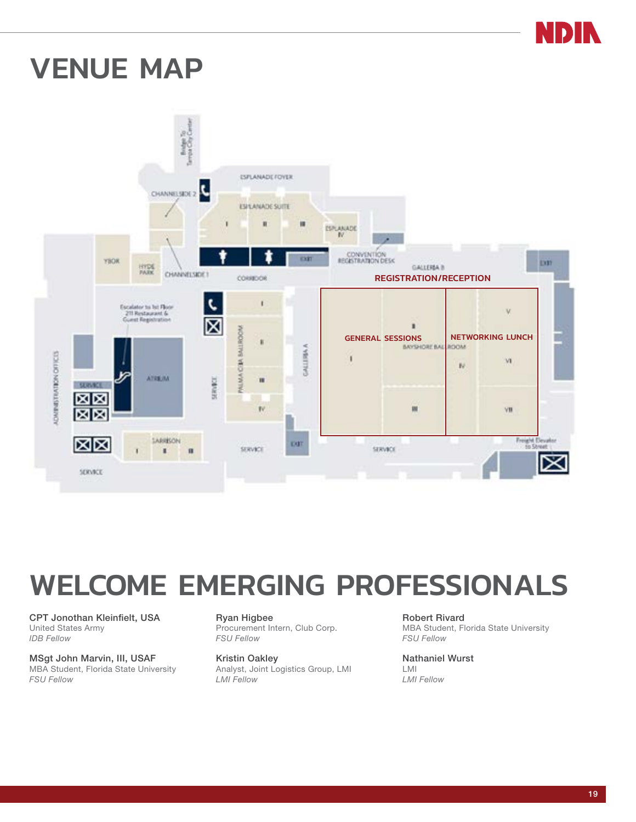

## <span id="page-18-0"></span>VENUE MAP



## WELCOME EMERGING PROFESSIONALS

CPT Jonothan Kleinfielt, USA United States Army *IDB Fellow*

MSgt John Marvin, III, USAF MBA Student, Florida State University *FSU Fellow*

Ryan Higbee Procurement Intern, Club Corp. *FSU Fellow*

Kristin Oakley Analyst, Joint Logistics Group, LMI *LMI Fellow*

Robert Rivard MBA Student, Florida State University *FSU Fellow*

Nathaniel Wurst LMI *LMI Fellow*